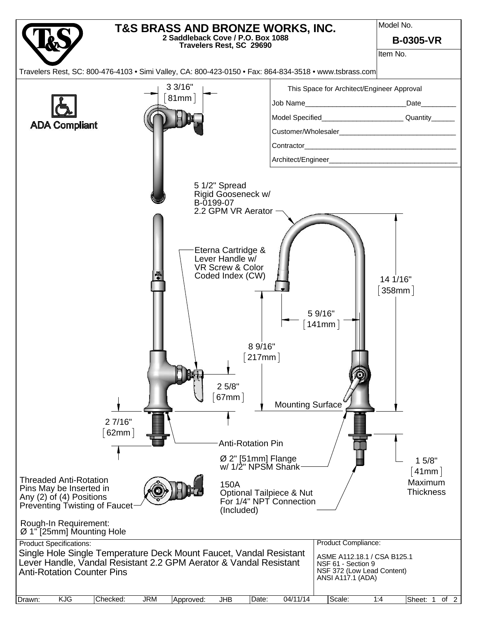